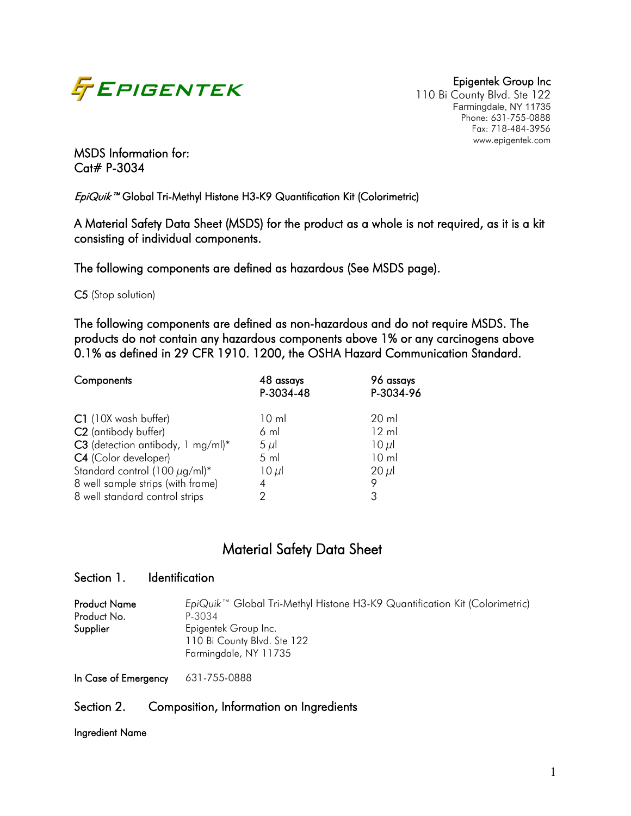

110 Bi County Blvd. Ste 122 Farmingdale, NY 11735 Phone: 631-755-0888 Fax: 718-484-3956 www.epigentek.com

MSDS Information for: Cat# P-3034

EpiQuik<sup>™</sup> Global Tri-Methyl Histone H3-K9 Quantification Kit (Colorimetric)

A Material Safety Data Sheet (MSDS) for the product as a whole is not required, as it is a kit consisting of individual components.

The following components are defined as hazardous (See MSDS page).

C5 (Stop solution)

The following components are defined as non-hazardous and do not require MSDS. The products do not contain any hazardous components above 1% or any carcinogens above 0.1% as defined in 29 CFR 1910. 1200, the OSHA Hazard Communication Standard.

| Components                                                                                                                                                                                       | 48 assays<br>P-3034-48                                             | 96 assays<br>P-3034-96                                                   |
|--------------------------------------------------------------------------------------------------------------------------------------------------------------------------------------------------|--------------------------------------------------------------------|--------------------------------------------------------------------------|
| C1 (10X wash buffer)<br>C <sub>2</sub> (antibody buffer)<br>C3 (detection antibody, 1 mg/ml)*<br>C4 (Color developer)<br>Standard control (100 $\mu$ g/ml)*<br>8 well sample strips (with frame) | $10 \mathrm{m}$<br>$6 \,$ ml<br>$5 \mu$<br>$5$ ml<br>$10 \mu$<br>4 | 20 ml<br>$12 \text{ ml}$<br>$10 \mu$<br>10 <sub>m</sub><br>$20 \mu$<br>9 |
| 8 well standard control strips                                                                                                                                                                   | 2                                                                  | 3                                                                        |

# Material Safety Data Sheet

### Section 1. Identification

| <b>Product Name</b> | EpiQuik <sup>™</sup> Global Tri-Methyl Histone H3-K9 Quantification Kit (Colorimetric) |
|---------------------|----------------------------------------------------------------------------------------|
| Product No.         | P-3034                                                                                 |
| Supplier            | Epigentek Group Inc.                                                                   |
|                     | 110 Bi County Blvd. Ste 122                                                            |
|                     | Farmingdale, NY 11735                                                                  |
|                     |                                                                                        |

In Case of Emergency 631-755-0888

### Section 2. Composition, Information on Ingredients

Ingredient Name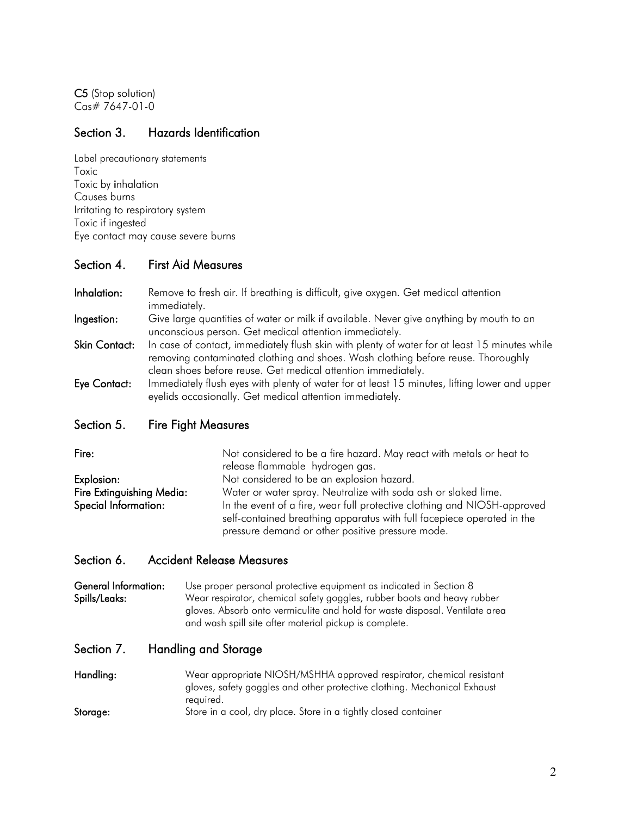C5 (Stop solution) Cas# 7647-01-0

### Section 3. Hazards Identification

Label precautionary statements Toxic Toxic by inhalation Causes burns Irritating to respiratory system Toxic if ingested Eye contact may cause severe burns

### Section 4. First Aid Measures

Inhalation: Remove to fresh air. If breathing is difficult, give oxygen. Get medical attention immediately. Ingestion: Give large quantities of water or milk if available. Never give anything by mouth to an unconscious person. Get medical attention immediately. Skin Contact: In case of contact, immediately flush skin with plenty of water for at least 15 minutes while removing contaminated clothing and shoes. Wash clothing before reuse. Thoroughly clean shoes before reuse. Get medical attention immediately. Eye Contact: Immediately flush eyes with plenty of water for at least 15 minutes, lifting lower and upper eyelids occasionally. Get medical attention immediately.

### Section 5. Fire Fight Measures

| Fire:                     | Not considered to be a fire hazard. May react with metals or heat to<br>release flammable hydrogen gas.                                            |
|---------------------------|----------------------------------------------------------------------------------------------------------------------------------------------------|
| Explosion:                | Not considered to be an explosion hazard.                                                                                                          |
| Fire Extinguishing Media: | Water or water spray. Neutralize with soda ash or slaked lime.                                                                                     |
| Special Information:      | In the event of a fire, wear full protective clothing and NIOSH-approved<br>self-contained breathing apparatus with full facepiece operated in the |
|                           | pressure demand or other positive pressure mode.                                                                                                   |

### Section 6. Accident Release Measures

General Information: Use proper personal protective equipment as indicated in Section 8 Spills/Leaks: Wear respirator, chemical safety goggles, rubber boots and heavy rubber gloves. Absorb onto vermiculite and hold for waste disposal. Ventilate area and wash spill site after material pickup is complete.

### Section 7. Handling and Storage

| Handling: | Wear appropriate NIOSH/MSHHA approved respirator, chemical resistant     |
|-----------|--------------------------------------------------------------------------|
|           | gloves, safety goggles and other protective clothing. Mechanical Exhaust |
|           | required.                                                                |
| Storage:  | Store in a cool, dry place. Store in a tightly closed container          |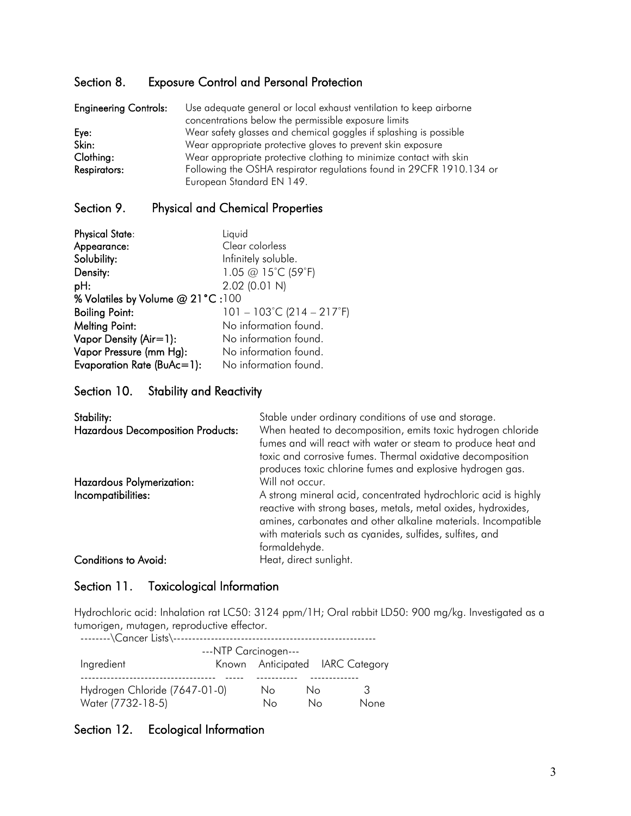## Section 8. Exposure Control and Personal Protection

| <b>Engineering Controls:</b> | Use adequate general or local exhaust ventilation to keep airborne   |
|------------------------------|----------------------------------------------------------------------|
|                              | concentrations below the permissible exposure limits                 |
| Eye:                         | Wear safety glasses and chemical goggles if splashing is possible    |
| Skin:                        | Wear appropriate protective gloves to prevent skin exposure          |
| Clothing:                    | Wear appropriate protective clothing to minimize contact with skin   |
| Respirators:                 | Following the OSHA respirator regulations found in 29CFR 1910.134 or |
|                              | European Standard EN 149.                                            |

# Section 9. Physical and Chemical Properties

| <b>Physical State:</b>           | Liquid                                         |  |  |
|----------------------------------|------------------------------------------------|--|--|
| Appearance:                      | Clear colorless                                |  |  |
| Solubility:                      | Infinitely soluble.                            |  |  |
| Density:                         | 1.05 @ 15°C (59°F)                             |  |  |
| pH:                              | 2.02 (0.01 N)                                  |  |  |
| % Volatiles by Volume @ 21°C:100 |                                                |  |  |
| <b>Boiling Point:</b>            | $101 - 103^{\circ}$ C (214 – 217 $^{\circ}$ F) |  |  |
| <b>Melting Point:</b>            | No information found.                          |  |  |
| Vapor Density (Air=1):           | No information found.                          |  |  |
| Vapor Pressure (mm Hg):          | No information found.                          |  |  |
| Evaporation Rate (BuAc=1):       | No information found.                          |  |  |

### Section 10. Stability and Reactivity

| Stability:<br><b>Hazardous Decomposition Products:</b><br>Hazardous Polymerization: | Stable under ordinary conditions of use and storage.<br>When heated to decomposition, emits toxic hydrogen chloride<br>fumes and will react with water or steam to produce heat and<br>toxic and corrosive fumes. Thermal oxidative decomposition<br>produces toxic chlorine fumes and explosive hydrogen gas.<br>Will not occur. |
|-------------------------------------------------------------------------------------|-----------------------------------------------------------------------------------------------------------------------------------------------------------------------------------------------------------------------------------------------------------------------------------------------------------------------------------|
| Incompatibilities:                                                                  | A strong mineral acid, concentrated hydrochloric acid is highly<br>reactive with strong bases, metals, metal oxides, hydroxides,<br>amines, carbonates and other alkaline materials. Incompatible<br>with materials such as cyanides, sulfides, sulfites, and<br>formaldehyde.                                                    |
| Conditions to Avoid:                                                                | Heat, direct sunlight.                                                                                                                                                                                                                                                                                                            |

## Section 11. Toxicological Information

Hydrochloric acid: Inhalation rat LC50: 3124 ppm/1H; Oral rabbit LD50: 900 mg/kg. Investigated as a tumorigen, mutagen, reproductive effector.

| --------\Cancer Lists\----    |  |          |          |  |                                 |
|-------------------------------|--|----------|----------|--|---------------------------------|
| ---NTP Carcinogen---          |  |          |          |  |                                 |
| Ingredient                    |  |          |          |  | Known Anticipated IARC Category |
| Hydrogen Chloride (7647-01-0) |  | No<br>Nο | Nο<br>N٥ |  | 3<br>None                       |
| Water (7732-18-5)             |  |          |          |  |                                 |

# Section 12. Ecological Information